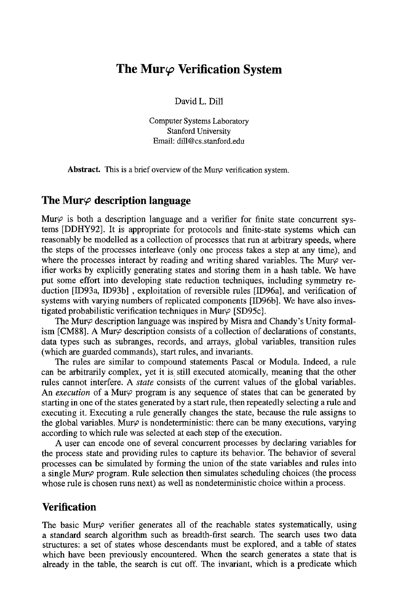# **The Mur** $\varphi$  **Verification System**

David L. Dill

Computer Systems Laboratory Stanford University Email: dill@cs.stanford.edu

Abstract. This is a brief overview of the Mur $\varphi$  verification system.

## The Mur $\varphi$  description language

Mur $\varphi$  is both a description language and a verifier for finite state concurrent systems [DDHY92]. It is appropriate for protocols and finite-state systems which can reasonably be modelled as a collection of processes that run at arbitrary speeds, where the steps of the processes interleave (only one process takes a step at any time), and where the processes interact by reading and writing shared variables. The Mur $\varphi$  verifier works by explicitly generating states and storing them in a hash table. We have put some effort into developing state reduction techniques, including symmetry reduction [ID93a, ID93b] , exploitation of reversible rules [ID96a], and verification of systems with varying numbers of replicated components [ID96b]. We have also investigated probabilistic verification techniques in Mur $\varphi$  [SD95c].

The Mur $\varphi$  description language was inspired by Misra and Chandy's Unity formalism [CM88]. A Mur $\varphi$  description consists of a collection of declarations of constants, data types such as subranges, records, and arrays, global variables, transition rules (which are guarded commands), start rules, and invariants.

The rules are similar to compound statements Pascal or Modula. Indeed, a rule can be arbitrarily complex, yet it is still executed atomically, meaning that the other rules cannot interfere. A *state* consists of the current values of the global variables. An *execution* of a Mur $\varphi$  program is any sequence of states that can be generated by starting in one of the states generated by a start rule, then repeatedly selecting a rule and executing it. Executing a rule generally changes the state, because the rule assigns to the global variables. Mur $\varphi$  is nondeterministic: there can be many executions, varying according to which rule was selected at each step of the execution.

A user can encode one of several concurrent processes by declaring variables for the process state and providing rules to capture its behavior. The behavior of several processes can be simulated by forming the union of the state variables and rules into a single Mur $\varphi$  program. Rule selection then simulates scheduling choices (the process whose rule is chosen runs next) as well as nondeterministic choice within a process.

## **Verification**

The basic Mur $\varphi$  verifier generates all of the reachable states systematically, using a standard search algorithm such as breadth-first search. The search uses two data structures: a set of states whose descendants must be explored, and a table of states which have been previously encountered. When the search generates a state that is already in the table, the search is cut off. The invariant, which is a predicate which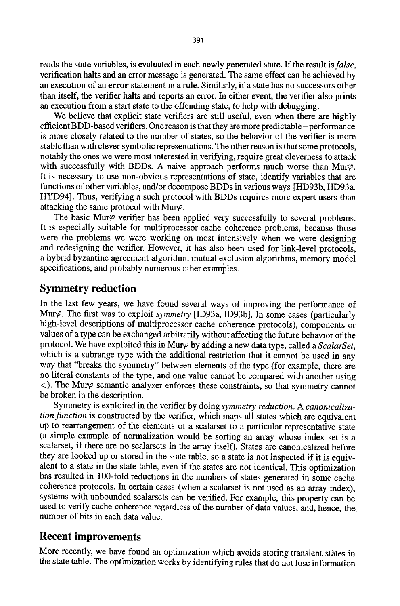reads the state variables, is evaluated in each newly generated state. If the result *is false,*  verification halts and an error message is generated. The same effect can be achieved by an execution of an error statement in a rule. Similarly, if a state has no successors other than itself, the verifier halts and reports an error. In either event, the verifier also prints an execution from a start state to the offending state, to help with debugging.

We believe that explicit state verifiers are still useful, even when there are highly efficient B DD-based verifiers. One reason is that they are more predictable- performance is more closely related to the number of states, so the behavior of the verifier is more stable than with clever symbolic representations. The other reason is that some protocols, notably the ones we were most interested in verifying, require great cleverness to attack with successfully with BDDs. A naive approach performs much worse than  $Mur\varphi$ . It is necessary to use non-obvious representations of state, identify variables that are functions of other variables, and/or decompose BDDs in various ways [HD93b, HD93a, HYD94]. Thus, verifying a such protocol with BDDs requires more expert users than attacking the same protocol with Mur $\varphi$ .

The basic Mur $\varphi$  verifier has been applied very successfully to several problems. It is especially suitable for multiprocessor cache coherence problems, because those were the problems we were working on most intensively when we were designing and redesigning the verifier. However, it has also been used for link-level protocols, a hybrid byzantine agreement algorithm, mutual exclusion algorithms, memory model specifications, and probably numerous other examples.

#### **Symmetry reduction**

In the last few years, we have found several ways of improving the performance of Mury. The first was to exploit *symmetry* [ID93a, ID93b]. In some cases (particularly high-level descriptions of multiprocessor cache coherence protocols), components or values of a type can be exchanged arbitrarily without affecting the future behavior of the protocol. We have exploited this in Mur $\varphi$  by adding a new data type, called a *ScalarSet*, which is a subrange type with the additional restriction that it cannot be used in any way that "breaks the symmetry" between elements of the type (for example, there are no literal constants of the type, and one value cannot be compared with another using  $\langle \rangle$ . The Mur $\varphi$  semantic analyzer enforces these constraints, so that symmetry cannot be broken in the description.

Symmetry is exploited in the verifier by doing *symmetry reduction. A canonicalization function* is constructed by the verifier, which maps all states which are equivalent up to rearrangement of the elements of a scalarset to a particular representative state (a simple example of normalization would be sorting an array whose index set is a scalarset, if there are no scalarsets in the array itself). States are canonicalized before they are looked up or stored in the state table, so a state is not inspected if it is equivalent to a state in the state table, even if the states are not identical. This optimization has resulted in 100-fold reductions in the numbers of states generated in some cache coherence protocols. In certain cases (when a scalarset is not used as an array index), systems with unbounded scalarsets can be verified. For example, this property can be used to verify cache coherence regardless of the number of data values, and, hence, the number of bits in each data value.

#### **Recent improvements**

More recently, we have found an optimization which avoids storing transient states in the state table. The optimization works by identifying rules that do not lose information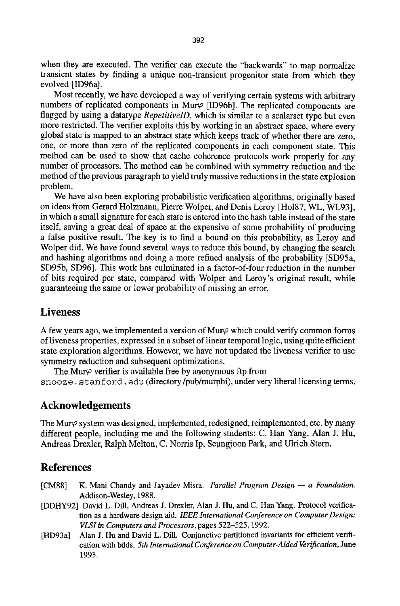when they are executed. The verifier can execute the "backwards" to map normalize transient states by finding a unique non-transient progenitor state from which they evolved [ID96a],

Most recently, we have developed a way of verifying certain systems with arbitrary numbers of replicated components in Mur $\varphi$  [ID96b]. The replicated components are flagged by using a datatype *RepetitivelD,* which is similar to a scalarset type but even more restricted. The verifier exploits this by working in an abstract space, where every global state is mapped to an abstract state which keeps track of whether there are zero, one, or more than zero of the replicated components in each component state. This method can be used to show that cache coherence protocols work properly for any number of processors. The method can be combined with symmetry reduction and the method of the previous paragraph to yield truly massive reductions in the state explosion problem.

We have also been exploring probabilistic verification algorithms, originally based on ideas from Gerard Holzmann, Pierre Wolper, and Denis Leroy [Ho187, WL, WL93], in which a small signature for each state is entered into the hash table instead of the state itself, saving a great deal of space at the expensive of some probability of producing a false positive result. The key is to find a bound on this probability, as Leroy and Wolper did. We have found several ways to reduce this bound, by changing the search and hashing algorithms and doing a more refined analysis of the probability [SD95a, SD95b, SD96]. This work has culminated in a factor-of-four reduction in the number of bits required per state, compared with Wolper and Leroy's original result, while guaranteeing the same or lower probability of missing an error,

### **Liveness**

A few years ago, we implemented a version of Mur $\varphi$  which could verify common forms of liveness properties, expressed in a subset of linear temporal logic, using quite efficient state exploration algorithms. However, we have not updated the liveness verifier to use symmetry reduction and subsequent optimizations.

The Mur $\varphi$  verifier is available free by anonymous ftp from snooze.stanford.edu (directory/pub/murphi), under very liberal licensing terms.

#### **Acknowledgements**

The Mur $\varphi$  system was designed, implemented, redesigned, reimplemented, etc. by many different people, including me and the following students: C. Han Yang, Alan J. Hu, Andreas Drexler, Ralph Melton, C. Norris Ip, Seungjoon Park, and Ulrich Stern.

#### **References**

- [CM88] K. Mani Chandy and Jayadev Misra. *Parallel Program Design* -- a Foundation. Addison-Wesley, 1988.
- [DDHY92] David L. Dill, Andreas J. Drexler, Alan J. Hu, and C. Han Yang. Protocol verification as a hardware design aid. *IEEE International Conference on Computer Design: VLSI in Computers and Processors,* pages 522-525, 1992.
- [HD93a] Alan J. Hu and David L. Dill. Conjunctive partitioned invariants for efficient verification with bdds. *5th International Conference on Computer-Aided Verification,* June 1993.